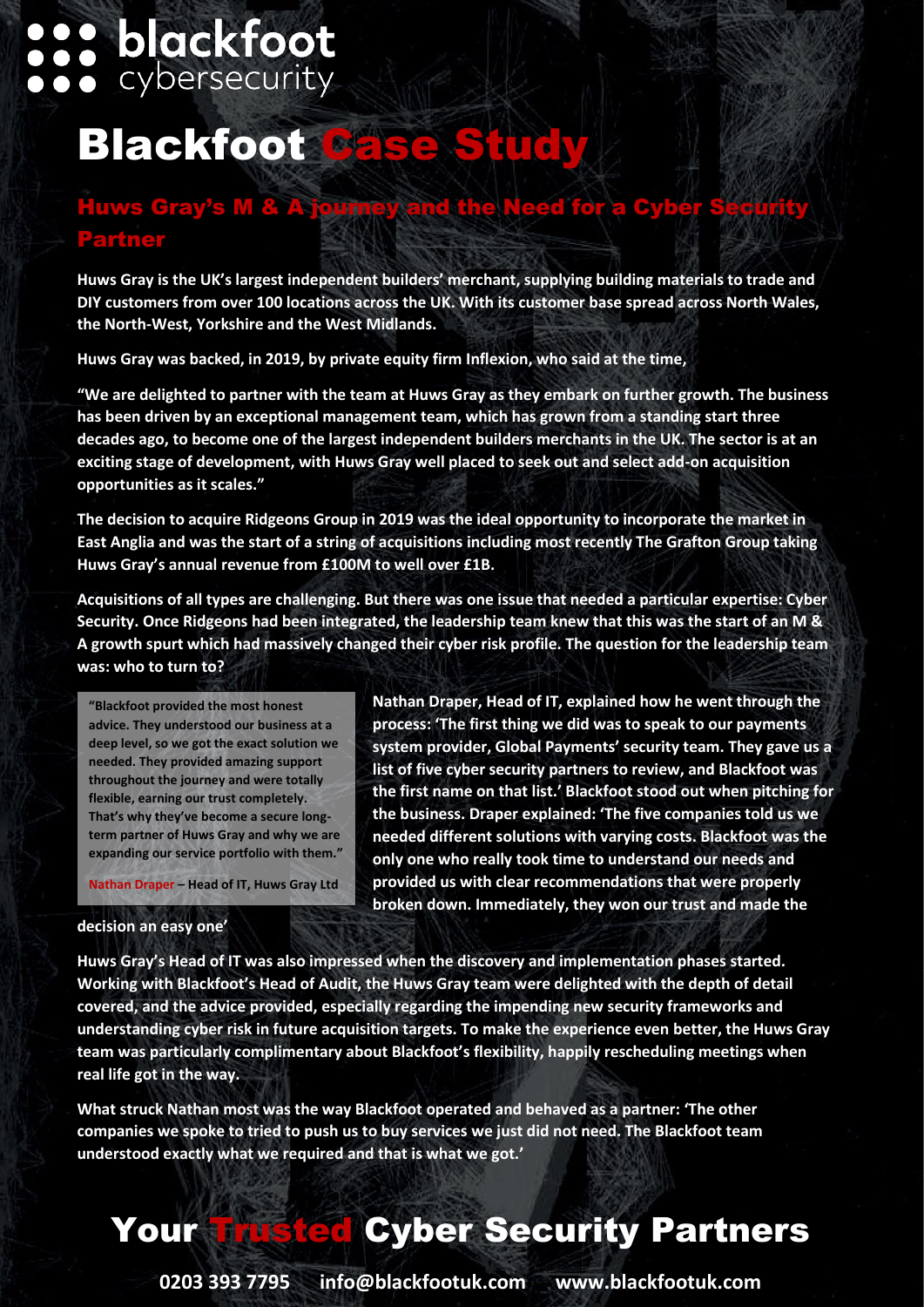# **:: blackfoot**

# **Blackfoot Case Study**

## Huws Gray's M & A journey and the Need for a Cy Partner

**Huws Gray is the UK's largest independent builders' merchant, supplying building materials to trade and DIY customers from over 100 locations across the UK. With its customer base spread across North Wales, the North-West, Yorkshire and the West Midlands.** 

**Huws Gray was backed, in 2019, by private equity firm Inflexion, who said at the time,** 

**"We are delighted to partner with the team at Huws Gray as they embark on further growth. The business has been driven by an exceptional management team, which has grown from a standing start three decades ago, to become one of the largest independent builders merchants in the UK. The sector is at an exciting stage of development, with Huws Gray well placed to seek out and select add-on acquisition opportunities as it scales."**

**The decision to acquire Ridgeons Group in 2019 was the ideal opportunity to incorporate the market in East Anglia and was the start of a string of acquisitions including most recently The Grafton Group taking Huws Gray's annual revenue from £100M to well over £1B.**

**Acquisitions of all types are challenging. But there was one issue that needed a particular expertise: Cyber Security. Once Ridgeons had been integrated, the leadership team knew that this was the start of an M & A growth spurt which had massively changed their cyber risk profile. The question for the leadership team was: who to turn to?**

**"Blackfoot provided the most honest advice. They understood our business at a deep level, so we got the exact solution we needed. They provided amazing support throughout the journey and were totally flexible, earning our trust completely. That's why they've become a secure longterm partner of Huws Gray and why we are expanding our service portfolio with them."**

**Nathan Draper – Head of IT, Huws Gray Ltd**

**Nathan Draper, Head of IT, explained how he went through the process: 'The first thing we did was to speak to our payments system provider, Global Payments' security team. They gave us a list of five cyber security partners to review, and Blackfoot was the first name on that list.' Blackfoot stood out when pitching for the business. Draper explained: 'The five companies told us we needed different solutions with varying costs. Blackfoot was the only one who really took time to understand our needs and provided us with clear recommendations that were properly broken down. Immediately, they won our trust and made the** 

#### **decision an easy one'**

**Huws Gray's Head of IT was also impressed when the discovery and implementation phases started. Working with Blackfoot's Head of Audit, the Huws Gray team were delighted with the depth of detail covered, and the advice provided, especially regarding the impending new security frameworks and understanding cyber risk in future acquisition targets. To make the experience even better, the Huws Gray team was particularly complimentary about Blackfoot's flexibility, happily rescheduling meetings when real life got in the way.**

**What struck Nathan most was the way Blackfoot operated and behaved as a partner: 'The other companies we spoke to tried to push us to buy services we just did not need. The Blackfoot team understood exactly what we required and that is what we got.'**

## Your Trusted Cyber Security Partners

**0203 393 7795 info@blackfootuk.com www.blackfootuk.com**